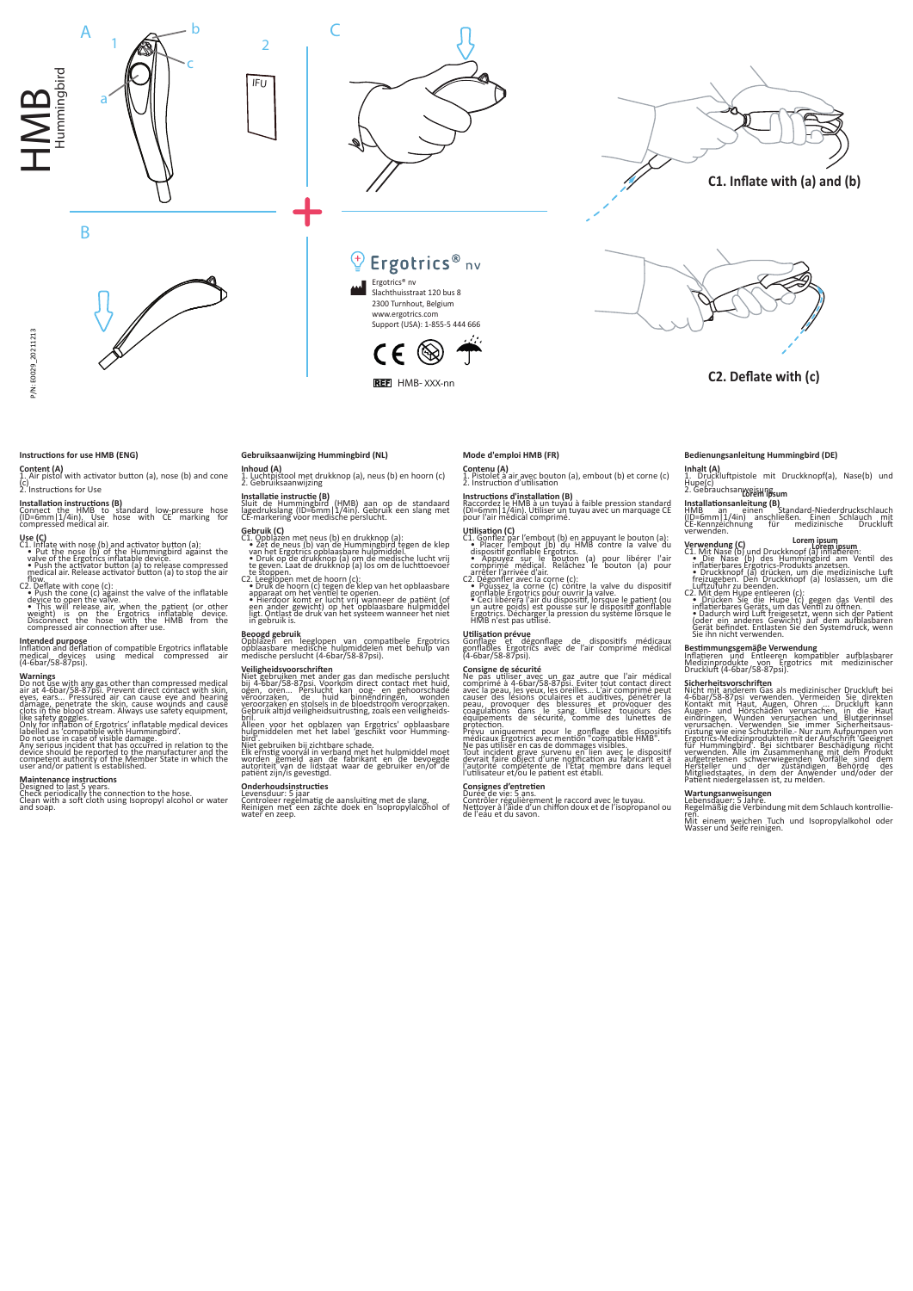



Ergotrics® nv Slachthuisstraat 120 bus 8 2300 Turnhout, Belgium www.ergotrics.com Support (USA): 1-855-5 444 666

Ergotrics® nv

REF HMB- XXX-nn

CE

(⊛



## **Instructions for use HMB (ENG)**

B

## **Content (A)**<br>1. Air pistol with activator button (a), nose (b) and cone

(c) 2. Instruc�ons for Use

**Installation instructions (B)**<br>Connect the HMB to standard low-pressure hose<br>(ID=6mm|1/4in). Use hose with CE marking for<br>compressed medical air.

Use (C)<br>C1. Inflate with nose (b) and activator button (a):<br>C1. Inflate with nose (b) of the Hummingbird against the<br>valve of the Ergotrics inflatable device.<br>• Push the activator button (a) to release compressed<br>• medical

flow.<br>C2. Deflate with cone (c):<br>C2. Deflate with cone (c) against the valve of the inflatable<br>device to open the valve.<br>This will release air, when the patient (or other<br>weight) is on the Ergotrics inflatable device.<br>Comp

# **Intended purpose**<br>Inflation and deflation of compaṭible Ergotrics inflatable<br>medical devices using medical compressed air<br>(4-6bar/58-87psi).

Warnings<br>
ob mot use with any gas other than compressed medical<br>
air at 4-6bar/58-8705i. Prevent direct contact with skin<br>
eyes, ears... Pressured air can cause eye and hearing<br>
damage, penetrate the skin, cause wounds and

**Maintenance instructions<br>Designed to last 5 years.<br>Check periodically the connection to the hose.<br>Clean with a soft cloth using Isopropyl alcohol or water<br>and soap.** 

## **Gebruiksaanwijzing Hummingbird (NL)**

**Inhoud (A)**<br>1. Luchtpistool met drukknop (a), neus (b) en hoorn (c)<br>2. Gebruiksaanwijzing

# **Installatie instructie (B)**<br>Sluit de Hummingbird (HMB) aan op de standaard<br>lagedrukslang (ID=6mm|1/4in). Gebruik een slang met<br>CE-markering voor medische perslucht.

Gebruik (C)<br>C1. Opblazen met neus (b) en drukknop (a):<br>C1. Opblazen met neus (b) van de Hummingbird tegen de klep<br>van het Ergotrics opblaasbare hulpmiddel.<br>• Druk op de drukknop (a) op de medische lucht vrij<br>te geven. Laat

te Stoppen.<br>
C2. Leeglopen met de hoorn (c):<br>
• Druk de hoorn (c): tegelopen met de hoorn (c):<br>
• Druk de hoorn (c): tegen de klep van het opblaasbare<br>
• Hierdoor komt er lucht vrij wanneer de patiënt (of<br>
• Hierdoor komt

**Beoogd gebruik**<br>Opblazen en leeglopen van compatibele Ergotrics<br>opblaasbare medische hulpmiddelen met behulp van<br>medische perslucht (4-6bar/58-87psi).

# **Veiligheidsvoorschriften**<br>Niet gebruiken met ander gas dan medische perslucht<br>bij 4-biar/58-87psi. Voorkom direct contact met huid,<br>ogen, oren... Perslucht kan oog- en gehoorschade<br>veroorzaken, en stolsels in de bloedstro

Gebruik altijd veiligheidsuitrusting, zoals een veiligheids-<br>bril.<br>bril.<br>bril. (altijd veiligheids label 'geschikt voor Humming-<br>blrd...<br>hulgmiddelen met het label 'geschikt voor Humming-<br>Riet gebruiken bij zichtbare schad

**Onderhoudsinstructies<br>Levensduur: 5 jaar**<br>Controleer regelmatig de aansluiting met de slang.<br>Reinigen met een zachte doek en Isopropylalcohol of<br>water en zeep.

**Mode d'emploi HMB (FR)**

**Contenu (A)**<br>1. Pistolet à air avec bouton (a), embout (b) et corne (c)<br>2. Instruction d'utilisation

# **Instructions d'installation (B)**<br>Raccordez le HMB à un tuyau à faible pression standard<br>(DI=6mm|1/4in). Utiliser un tuyau avec un marquage CE<br>pour l'air médical comprimé.

**Utilisation (C)**<br>C1. Gonflez par l'embout (b) en appuyant le bouton (a):<br>C1. Gonflez par l'embout (b) du HMB contre la valve du<br>dispositif gonflable Ergotrics.<br>comprime médical. Relâchez le bouton (a) pour<br>comprime médica

# **Utilisation prévue**<br>Gonflage et dégonflage de dispositifs médicaux<br>gonflables Ergotrics avec de l'air comprimé médical<br>(4-6bar/58-8*T*psi).

Consigne de sécurité<br>
Ne pas utiliser avec un gaz autre que l'air médical<br>
comprimé à 4-6bar/58-87psi. Eviter tout contact direct<br>
avec la peau, les yeux, les oreilles... L'air comprimé peut<br>
causer des lésions oculaires e

profection.<br>The present pour le gonflage des dispositifs<br>Prévu uniquement pour le gonflage des dispositifs<br>Ne pas utiliser en cas de dommages visibles.<br>Tout incident grave survenu en lien avec le dispositif<br>devrait faire o

## Consignes d'entretien

Durée de vie: 5 ans. Contrôler régulièrement le raccord avec le tuyau. Ne�oyer à l'aide d'un chiffon doux et de l'isopropanol ou de l'eau et du savon.

## **Bedienungsanleitung Hummingbird (DE)**

**Inhalt (A)**<br>1. Druckluftpistole mit Druckknopf(a), Nase(b) und Hupe(c) 2. Gebrauchsanweisung **Lorem ipsum**

**Installationsanleitung (B)**<br>HMB an einen<br>(ID=6mm|1/4in) anschließen. Einen Schlauch mit<br>CE-Kennzeichnung für medizinische Druckluft<br>verwenden.

## **Lorem ipsum Lorem ipsum**

- Verwendung (C)<br>
ca. Mit Nase (b) und Druckknopf (a) inflameren:<br>
 Die Nase (b) des Hummingbird am Ventil des<br>
 inflatierbares Ergotrics-Produkts anzetsen.<br>
 Pruckknopf (a) drücken, um die medizinische Luft<br>
 Frizugeben
- 

**Bestimmungsgemäβe Verwendung<br>Inflatieren und Entleeren kompatibler aufblasbarer<br>Medizinprodukte von Ergotrics mit medizinischer<br>Druckluft (4-6bar/58-87psi).** 

Sicherheitsvorschriften<br>
Nicht mit anderem Gas als medizinischer Druckluft bei<br>
4-bbar/58-87psi verwenden. Vermeiden Sie direkten<br>
Kontakt mit Haut, Augen, Ohren ... Druckluft kann<br>
Augen- und Hörschäden verursachen, in di

**Wartungsanweisungen**<br>Lebensdauer: 5 Jahre.<br>Regelmäßig die Verbindung mit dem Schlauch kontrollie-<br>Mit einem weichen Tuch<br>Wasser und Seife reinigen.<br>Wasser und Seife reinigen.

**C1. Inflate with (a) and (b)**



**C2. Deflate with (c)**